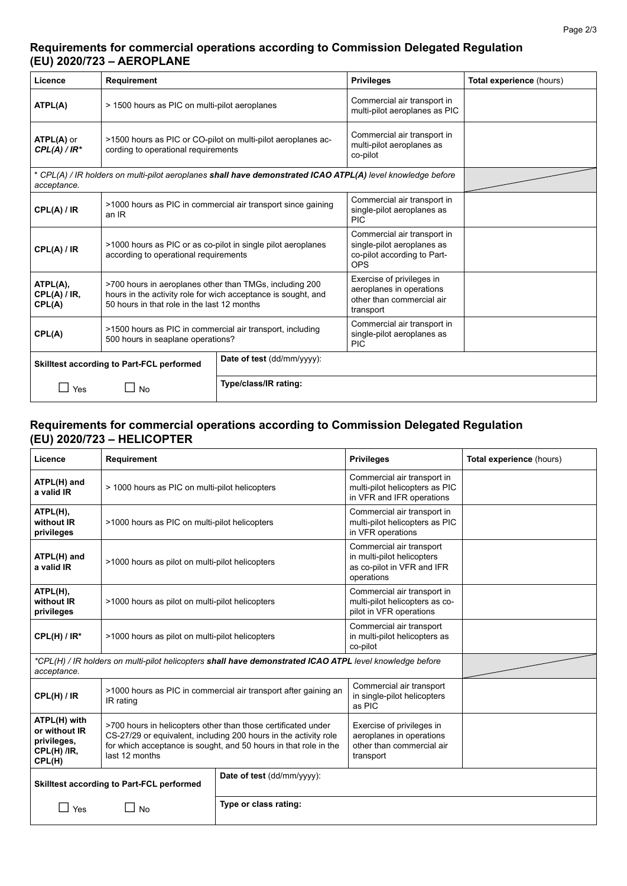## **Requirements for commercial operations according to Commission Delegated Regulation (EU) 2020/723 – AEROPLANE**

| Licence                                                                                                                    | <b>Requirement</b>                                                                                                                                                      |                            | <b>Privileges</b>                                                                                      | Total experience (hours) |
|----------------------------------------------------------------------------------------------------------------------------|-------------------------------------------------------------------------------------------------------------------------------------------------------------------------|----------------------------|--------------------------------------------------------------------------------------------------------|--------------------------|
| ATPL(A)                                                                                                                    | > 1500 hours as PIC on multi-pilot aeroplanes                                                                                                                           |                            | Commercial air transport in<br>multi-pilot aeroplanes as PIC                                           |                          |
| <b>ATPL(A)</b> or<br>$CPL(A)/IR^*$                                                                                         | >1500 hours as PIC or CO-pilot on multi-pilot aeroplanes ac-<br>cording to operational requirements                                                                     |                            | Commercial air transport in<br>multi-pilot aeroplanes as<br>co-pilot                                   |                          |
| * CPL(A) / IR holders on multi-pilot aeroplanes shall have demonstrated ICAO ATPL(A) level knowledge before<br>acceptance. |                                                                                                                                                                         |                            |                                                                                                        |                          |
| CPL(A) / IR                                                                                                                | >1000 hours as PIC in commercial air transport since gaining<br>an IR                                                                                                   |                            | Commercial air transport in<br>single-pilot aeroplanes as<br><b>PIC</b>                                |                          |
| CPL(A) / IR                                                                                                                | >1000 hours as PIC or as co-pilot in single pilot aeroplanes<br>according to operational requirements                                                                   |                            | Commercial air transport in<br>single-pilot aeroplanes as<br>co-pilot according to Part-<br><b>OPS</b> |                          |
| ATPL(A),<br>CPL(A) / IR<br>CPL(A)                                                                                          | >700 hours in aeroplanes other than TMGs, including 200<br>hours in the activity role for wich acceptance is sought, and<br>50 hours in that role in the last 12 months |                            | Exercise of privileges in<br>aeroplanes in operations<br>other than commercial air<br>transport        |                          |
| CPL(A)                                                                                                                     | >1500 hours as PIC in commercial air transport, including<br>500 hours in seaplane operations?                                                                          |                            | Commercial air transport in<br>single-pilot aeroplanes as<br><b>PIC</b>                                |                          |
| Skilltest according to Part-FCL performed                                                                                  |                                                                                                                                                                         | Date of test (dd/mm/yyyy): |                                                                                                        |                          |
| $\blacksquare$ Yes                                                                                                         | $\Box$ No                                                                                                                                                               | Type/class/IR rating:      |                                                                                                        |                          |

## **Requirements for commercial operations according to Commission Delegated Regulation (EU) 2020/723 – HELICOPTER**

| Licence                                                                                                                 | Requirement                                                                                                                                                                                                             |                            | <b>Privileges</b>                                                                                  | Total experience (hours) |
|-------------------------------------------------------------------------------------------------------------------------|-------------------------------------------------------------------------------------------------------------------------------------------------------------------------------------------------------------------------|----------------------------|----------------------------------------------------------------------------------------------------|--------------------------|
| ATPL(H) and<br>a valid IR                                                                                               | > 1000 hours as PIC on multi-pilot helicopters                                                                                                                                                                          |                            | Commercial air transport in<br>multi-pilot helicopters as PIC<br>in VFR and IFR operations         |                          |
| ATPL(H),<br>without IR<br>privileges                                                                                    | >1000 hours as PIC on multi-pilot helicopters                                                                                                                                                                           |                            | Commercial air transport in<br>multi-pilot helicopters as PIC<br>in VFR operations                 |                          |
| ATPL(H) and<br>a valid IR                                                                                               | >1000 hours as pilot on multi-pilot helicopters                                                                                                                                                                         |                            | Commercial air transport<br>in multi-pilot helicopters<br>as co-pilot in VFR and IFR<br>operations |                          |
| ATPL(H),<br>without IR<br>privileges                                                                                    | >1000 hours as pilot on multi-pilot helicopters                                                                                                                                                                         |                            | Commercial air transport in<br>multi-pilot helicopters as co-<br>pilot in VFR operations           |                          |
| $CPL(H) / IR^*$                                                                                                         | >1000 hours as pilot on multi-pilot helicopters                                                                                                                                                                         |                            | Commercial air transport<br>in multi-pilot helicopters as<br>co-pilot                              |                          |
| *CPL(H) / IR holders on multi-pilot helicopters shall have demonstrated ICAO ATPL level knowledge before<br>acceptance. |                                                                                                                                                                                                                         |                            |                                                                                                    |                          |
| CPL(H) / IR                                                                                                             | >1000 hours as PIC in commercial air transport after gaining an<br>IR rating                                                                                                                                            |                            | Commercial air transport<br>in single-pilot helicopters<br>as PIC                                  |                          |
| ATPL(H) with<br>or without IR<br>privileges,<br>CPL(H) /IR,<br>CPL(H)                                                   | >700 hours in helicopters other than those certificated under<br>CS-27/29 or equivalent, including 200 hours in the activity role<br>for which acceptance is sought, and 50 hours in that role in the<br>last 12 months |                            | Exercise of privileges in<br>aeroplanes in operations<br>other than commercial air<br>transport    |                          |
| Skilltest according to Part-FCL performed                                                                               |                                                                                                                                                                                                                         | Date of test (dd/mm/yyyy): |                                                                                                    |                          |
| $\vert$ $\vert$ Yes                                                                                                     | $\Box$ No                                                                                                                                                                                                               | Type or class rating:      |                                                                                                    |                          |